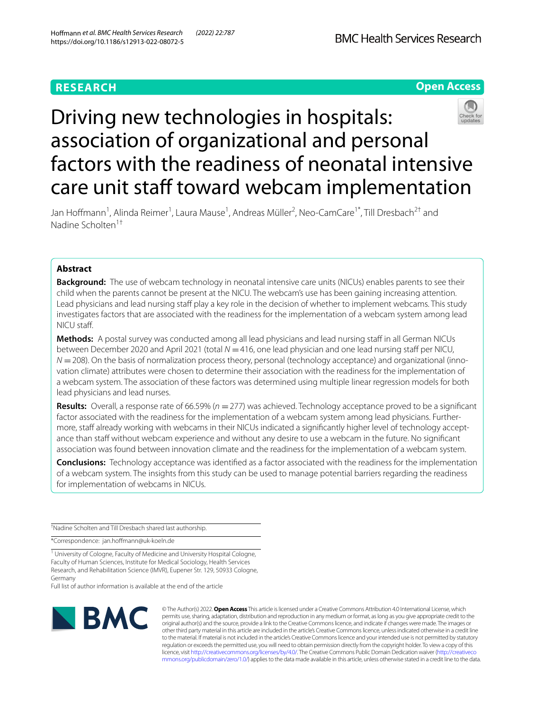# **RESEARCH**



# Driving new technologies in hospitals: association of organizational and personal factors with the readiness of neonatal intensive care unit staff toward webcam implementation

Jan Hoffmann<sup>1</sup>, Alinda Reimer<sup>1</sup>, Laura Mause<sup>1</sup>, Andreas Müller<sup>2</sup>, Neo-CamCare<sup>1\*</sup>, Till Dresbach<sup>2†</sup> and Nadine Scholten1†

# **Abstract**

**Background:** The use of webcam technology in neonatal intensive care units (NICUs) enables parents to see their child when the parents cannot be present at the NICU. The webcam's use has been gaining increasing attention. Lead physicians and lead nursing staff play a key role in the decision of whether to implement webcams. This study investigates factors that are associated with the readiness for the implementation of a webcam system among lead NICU staf.

**Methods:** A postal survey was conducted among all lead physicians and lead nursing staff in all German NICUs between December 2020 and April 2021 (total  $N = 416$ , one lead physician and one lead nursing staff per NICU, *N* = 208). On the basis of normalization process theory, personal (technology acceptance) and organizational (innovation climate) attributes were chosen to determine their association with the readiness for the implementation of a webcam system. The association of these factors was determined using multiple linear regression models for both lead physicians and lead nurses.

**Results:** Overall, a response rate of 66.59% (*n* =277) was achieved. Technology acceptance proved to be a signifcant factor associated with the readiness for the implementation of a webcam system among lead physicians. Furthermore, staff already working with webcams in their NICUs indicated a significantly higher level of technology acceptance than staff without webcam experience and without any desire to use a webcam in the future. No significant association was found between innovation climate and the readiness for the implementation of a webcam system.

**Conclusions:** Technology acceptance was identifed as a factor associated with the readiness for the implementation of a webcam system. The insights from this study can be used to manage potential barriers regarding the readiness for implementation of webcams in NICUs.

† Nadine Scholten and Till Dresbach shared last authorship.

\*Correspondence: jan.hofmann@uk-koeln.de

<sup>1</sup> University of Cologne, Faculty of Medicine and University Hospital Cologne, Faculty of Human Sciences, Institute for Medical Sociology, Health Services Research, and Rehabilitation Science (IMVR), Eupener Str. 129, 50933 Cologne, Germany

Full list of author information is available at the end of the article



© The Author(s) 2022. **Open Access** This article is licensed under a Creative Commons Attribution 4.0 International License, which permits use, sharing, adaptation, distribution and reproduction in any medium or format, as long as you give appropriate credit to the original author(s) and the source, provide a link to the Creative Commons licence, and indicate if changes were made. The images or other third party material in this article are included in the article's Creative Commons licence, unless indicated otherwise in a credit line to the material. If material is not included in the article's Creative Commons licence and your intended use is not permitted by statutory regulation or exceeds the permitted use, you will need to obtain permission directly from the copyright holder. To view a copy of this licence, visit [http://creativecommons.org/licenses/by/4.0/.](http://creativecommons.org/licenses/by/4.0/) The Creative Commons Public Domain Dedication waiver ([http://creativeco](http://creativecommons.org/publicdomain/zero/1.0/) [mmons.org/publicdomain/zero/1.0/](http://creativecommons.org/publicdomain/zero/1.0/)) applies to the data made available in this article, unless otherwise stated in a credit line to the data.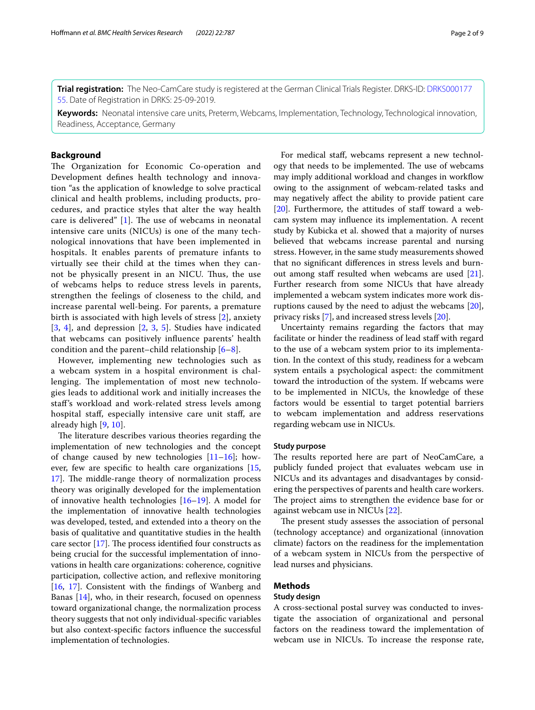**Trial registration:** The Neo-CamCare study is registered at the German Clinical Trials Register. DRKS-ID: [DRKS000177](https://www.drks.de/drks_web/navigate.do?navigationId=trial.HTML&TRIAL_ID=DRKS00017755) [55.](https://www.drks.de/drks_web/navigate.do?navigationId=trial.HTML&TRIAL_ID=DRKS00017755) Date of Registration in DRKS: 25-09-2019.

**Keywords:** Neonatal intensive care units, Preterm, Webcams, Implementation, Technology, Technological innovation, Readiness, Acceptance, Germany

# **Background**

The Organization for Economic Co-operation and Development defnes health technology and innovation "as the application of knowledge to solve practical clinical and health problems, including products, procedures, and practice styles that alter the way health care is delivered"  $[1]$  $[1]$ . The use of webcams in neonatal intensive care units (NICUs) is one of the many technological innovations that have been implemented in hospitals. It enables parents of premature infants to virtually see their child at the times when they cannot be physically present in an NICU. Thus, the use of webcams helps to reduce stress levels in parents, strengthen the feelings of closeness to the child, and increase parental well-being. For parents, a premature birth is associated with high levels of stress [[2\]](#page-8-1), anxiety [[3](#page-8-2), [4](#page-8-3)], and depression [\[2](#page-8-1), [3,](#page-8-2) [5\]](#page-8-4). Studies have indicated that webcams can positively infuence parents' health condition and the parent–child relationship  $[6-8]$  $[6-8]$ .

However, implementing new technologies such as a webcam system in a hospital environment is challenging. The implementation of most new technologies leads to additional work and initially increases the staf's workload and work-related stress levels among hospital staf, especially intensive care unit staf, are already high [[9](#page-8-7), [10](#page-8-8)].

The literature describes various theories regarding the implementation of new technologies and the concept of change caused by new technologies  $[11-16]$  $[11-16]$ ; however, few are specifc to health care organizations [\[15](#page-8-11), [17\]](#page-8-12). The middle-range theory of normalization process theory was originally developed for the implementation of innovative health technologies [\[16](#page-8-10)[–19\]](#page-8-13). A model for the implementation of innovative health technologies was developed, tested, and extended into a theory on the basis of qualitative and quantitative studies in the health care sector  $[17]$ . The process identified four constructs as being crucial for the successful implementation of innovations in health care organizations: coherence, cognitive participation, collective action, and reflexive monitoring [[16,](#page-8-10) [17](#page-8-12)]. Consistent with the fndings of Wanberg and Banas [[14](#page-8-14)], who, in their research, focused on openness toward organizational change, the normalization process theory suggests that not only individual-specifc variables but also context-specifc factors infuence the successful implementation of technologies.

For medical staf, webcams represent a new technology that needs to be implemented. The use of webcams may imply additional workload and changes in workflow owing to the assignment of webcam-related tasks and may negatively afect the ability to provide patient care [[20\]](#page-8-15). Furthermore, the attitudes of staff toward a webcam system may infuence its implementation. A recent study by Kubicka et al. showed that a majority of nurses believed that webcams increase parental and nursing stress. However, in the same study measurements showed that no signifcant diferences in stress levels and burn-out among staff resulted when webcams are used [\[21](#page-8-16)]. Further research from some NICUs that have already implemented a webcam system indicates more work disruptions caused by the need to adjust the webcams [\[20](#page-8-15)], privacy risks [[7\]](#page-8-17), and increased stress levels [\[20](#page-8-15)].

Uncertainty remains regarding the factors that may facilitate or hinder the readiness of lead staff with regard to the use of a webcam system prior to its implementation. In the context of this study, readiness for a webcam system entails a psychological aspect: the commitment toward the introduction of the system. If webcams were to be implemented in NICUs, the knowledge of these factors would be essential to target potential barriers to webcam implementation and address reservations regarding webcam use in NICUs.

# **Study purpose**

The results reported here are part of NeoCamCare, a publicly funded project that evaluates webcam use in NICUs and its advantages and disadvantages by considering the perspectives of parents and health care workers. The project aims to strengthen the evidence base for or against webcam use in NICUs [[22](#page-8-18)].

The present study assesses the association of personal (technology acceptance) and organizational (innovation climate) factors on the readiness for the implementation of a webcam system in NICUs from the perspective of lead nurses and physicians.

# **Methods**

# **Study design**

A cross-sectional postal survey was conducted to investigate the association of organizational and personal factors on the readiness toward the implementation of webcam use in NICUs. To increase the response rate,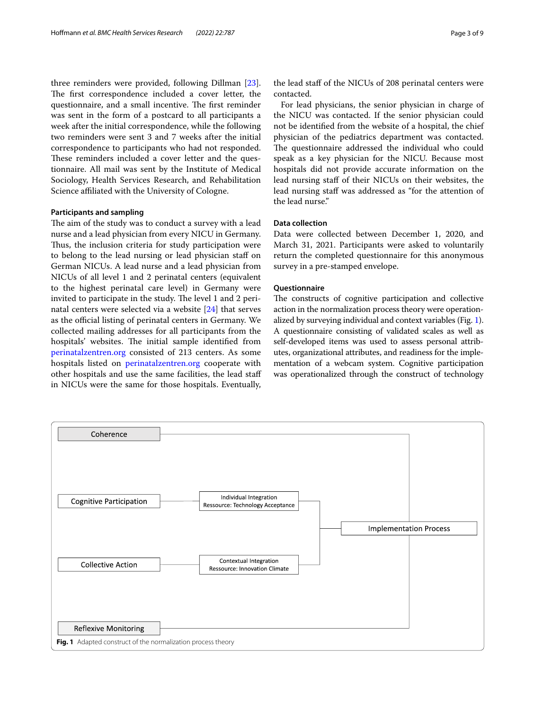three reminders were provided, following Dillman [\[23](#page-8-19)]. The first correspondence included a cover letter, the questionnaire, and a small incentive. The first reminder was sent in the form of a postcard to all participants a week after the initial correspondence, while the following two reminders were sent 3 and 7 weeks after the initial correspondence to participants who had not responded. These reminders included a cover letter and the questionnaire. All mail was sent by the Institute of Medical Sociology, Health Services Research, and Rehabilitation Science afliated with the University of Cologne.

# **Participants and sampling**

The aim of the study was to conduct a survey with a lead nurse and a lead physician from every NICU in Germany. Thus, the inclusion criteria for study participation were to belong to the lead nursing or lead physician staff on German NICUs. A lead nurse and a lead physician from NICUs of all level 1 and 2 perinatal centers (equivalent to the highest perinatal care level) in Germany were invited to participate in the study. The level 1 and 2 perinatal centers were selected via a website [[24\]](#page-8-20) that serves as the official listing of perinatal centers in Germany. We collected mailing addresses for all participants from the hospitals' websites. The initial sample identified from [perinatalzentren.org](http://perinatalzentren.org) consisted of 213 centers. As some hospitals listed on [perinatalzentren.org](http://perinatalzentren.org) cooperate with other hospitals and use the same facilities, the lead staf in NICUs were the same for those hospitals. Eventually,

the lead staff of the NICUs of 208 perinatal centers were contacted.

For lead physicians, the senior physician in charge of the NICU was contacted. If the senior physician could not be identifed from the website of a hospital, the chief physician of the pediatrics department was contacted. The questionnaire addressed the individual who could speak as a key physician for the NICU. Because most hospitals did not provide accurate information on the lead nursing staf of their NICUs on their websites, the lead nursing staff was addressed as "for the attention of the lead nurse."

# **Data collection**

Data were collected between December 1, 2020, and March 31, 2021. Participants were asked to voluntarily return the completed questionnaire for this anonymous survey in a pre-stamped envelope.

# **Questionnaire**

The constructs of cognitive participation and collective action in the normalization process theory were operationalized by surveying individual and context variables (Fig. [1](#page-2-0)). A questionnaire consisting of validated scales as well as self-developed items was used to assess personal attributes, organizational attributes, and readiness for the implementation of a webcam system. Cognitive participation was operationalized through the construct of technology

<span id="page-2-0"></span>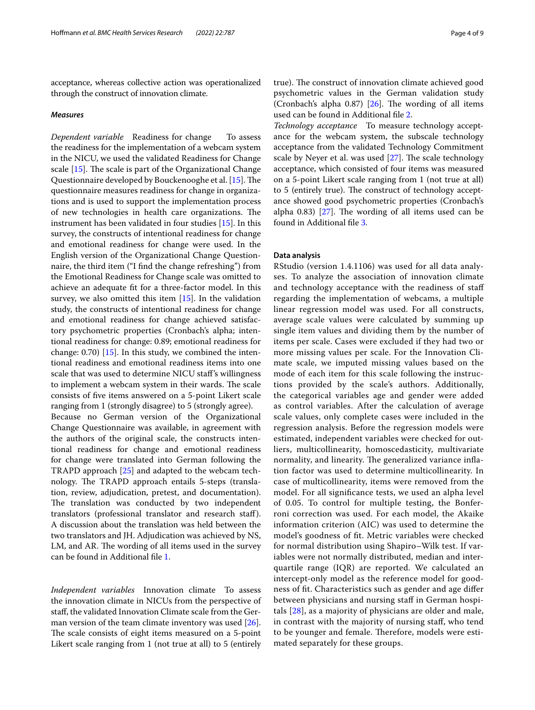acceptance, whereas collective action was operationalized through the construct of innovation climate.

#### *Measures*

*Dependent variable* Readiness for change To assess the readiness for the implementation of a webcam system in the NICU, we used the validated Readiness for Change scale  $[15]$  $[15]$ . The scale is part of the Organizational Change Questionnaire developed by Bouckenooghe et al. [\[15](#page-8-11)]. The questionnaire measures readiness for change in organizations and is used to support the implementation process of new technologies in health care organizations. The instrument has been validated in four studies [[15](#page-8-11)]. In this survey, the constructs of intentional readiness for change and emotional readiness for change were used. In the English version of the Organizational Change Questionnaire, the third item ("I fnd the change refreshing") from the Emotional Readiness for Change scale was omitted to achieve an adequate ft for a three-factor model. In this survey, we also omitted this item [[15](#page-8-11)]. In the validation study, the constructs of intentional readiness for change and emotional readiness for change achieved satisfactory psychometric properties (Cronbach's alpha; intentional readiness for change: 0.89; emotional readiness for change: 0.70) [\[15\]](#page-8-11). In this study, we combined the intentional readiness and emotional readiness items into one scale that was used to determine NICU staf's willingness to implement a webcam system in their wards. The scale consists of fve items answered on a 5-point Likert scale ranging from 1 (strongly disagree) to 5 (strongly agree). Because no German version of the Organizational Change Questionnaire was available, in agreement with the authors of the original scale, the constructs intentional readiness for change and emotional readiness for change were translated into German following the TRAPD approach [\[25](#page-8-21)] and adapted to the webcam technology. The TRAPD approach entails 5-steps (translation, review, adjudication, pretest, and documentation). The translation was conducted by two independent translators (professional translator and research staf). A discussion about the translation was held between the two translators and JH. Adjudication was achieved by NS, LM, and AR. The wording of all items used in the survey can be found in Additional fle [1.](#page-7-0)

*Independent variables* Innovation climate To assess the innovation climate in NICUs from the perspective of staf, the validated Innovation Climate scale from the German version of the team climate inventory was used [\[26](#page-8-22)]. The scale consists of eight items measured on a 5-point Likert scale ranging from 1 (not true at all) to 5 (entirely true). The construct of innovation climate achieved good psychometric values in the German validation study (Cronbach's alpha  $0.87$ ) [\[26\]](#page-8-22). The wording of all items used can be found in Additional fle [2](#page-7-1).

*Technology acceptance* To measure technology acceptance for the webcam system, the subscale technology acceptance from the validated Technology Commitment scale by Neyer et al. was used  $[27]$ . The scale technology acceptance, which consisted of four items was measured on a 5-point Likert scale ranging from 1 (not true at all) to 5 (entirely true). The construct of technology acceptance showed good psychometric properties (Cronbach's alpha  $0.83$ ) [\[27](#page-8-23)]. The wording of all items used can be found in Additional fle [3.](#page-7-2)

# **Data analysis**

RStudio (version 1.4.1106) was used for all data analyses. To analyze the association of innovation climate and technology acceptance with the readiness of staf regarding the implementation of webcams, a multiple linear regression model was used. For all constructs, average scale values were calculated by summing up single item values and dividing them by the number of items per scale. Cases were excluded if they had two or more missing values per scale. For the Innovation Climate scale, we imputed missing values based on the mode of each item for this scale following the instructions provided by the scale's authors. Additionally, the categorical variables age and gender were added as control variables. After the calculation of average scale values, only complete cases were included in the regression analysis. Before the regression models were estimated, independent variables were checked for outliers, multicollinearity, homoscedasticity, multivariate normality, and linearity. The generalized variance inflation factor was used to determine multicollinearity. In case of multicollinearity, items were removed from the model. For all signifcance tests, we used an alpha level of 0.05. To control for multiple testing, the Bonferroni correction was used. For each model, the Akaike information criterion (AIC) was used to determine the model's goodness of ft. Metric variables were checked for normal distribution using Shapiro–Wilk test. If variables were not normally distributed, median and interquartile range (IQR) are reported. We calculated an intercept-only model as the reference model for goodness of ft. Characteristics such as gender and age difer between physicians and nursing staf in German hospitals [\[28\]](#page-8-24), as a majority of physicians are older and male, in contrast with the majority of nursing staf, who tend to be younger and female. Therefore, models were estimated separately for these groups.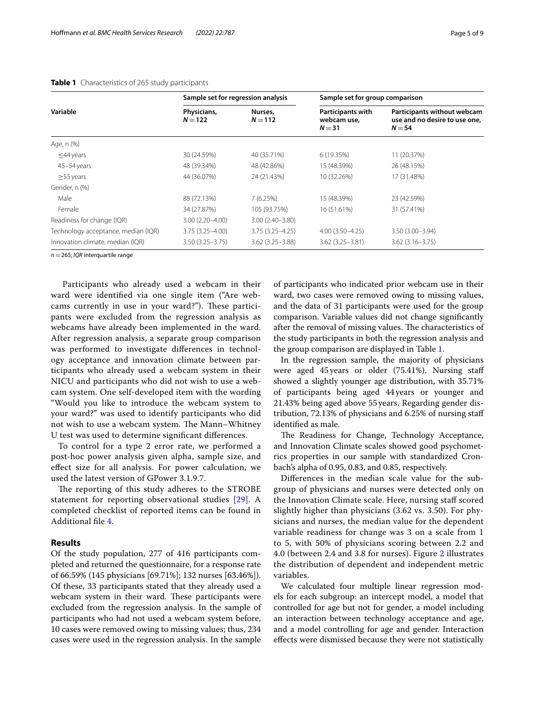|                                     | Sample set for regression analysis                                                               |                     | Sample set for group comparison                                          |                     |  |
|-------------------------------------|--------------------------------------------------------------------------------------------------|---------------------|--------------------------------------------------------------------------|---------------------|--|
| Variable                            | Physicians,<br>Participants with<br>Nurses,<br>$N = 122$<br>$N = 112$<br>webcam use,<br>$N = 31$ |                     | Participants without webcam<br>use and no desire to use one,<br>$N = 54$ |                     |  |
| Age, n (%)                          |                                                                                                  |                     |                                                                          |                     |  |
| $\leq$ 44 years                     | 30 (24.59%)                                                                                      | 40 (35.71%)         | 6 (19.35%)                                                               | 11 (20.37%)         |  |
| 45-54 years                         | 48 (39.34%)                                                                                      | 48 (42.86%)         | 15 (48.39%)                                                              | 26 (48.15%)         |  |
| $>55$ years                         | 44 (36.07%)                                                                                      | 24 (21.43%)         | 10 (32.26%)                                                              | 17 (31.48%)         |  |
| Gender, n (%)                       |                                                                                                  |                     |                                                                          |                     |  |
| Male                                | 88 (72.13%)                                                                                      | 7(6.25%)            | 15 (48.39%)                                                              | 23 (42.59%)         |  |
| Female                              | 34 (27.87%)                                                                                      | 105 (93.75%)        | 16 (51.61%)                                                              | 31 (57.41%)         |  |
| Readiness for change (IQR)          | $3.00(2.20 - 4.00)$                                                                              | $3.00(2.40 - 3.80)$ |                                                                          |                     |  |
| Technology acceptance, median (IQR) | $3.75(3.25 - 4.00)$                                                                              | $3.75(3.25 - 4.25)$ | $4.00(3.50 - 4.25)$                                                      | $3.50(3.00 - 3.94)$ |  |
| Innovation climate, median (IQR)    | $3.50(3.25 - 3.75)$                                                                              | $3.62(3.25 - 3.88)$ | $3.62(3.25 - 3.81)$                                                      | $3.62(3.16 - 3.75)$ |  |

# <span id="page-4-0"></span>**Table 1** Characteristics of 265 study participants

*n* =265; *IQR* interquartile range

 Participants who already used a webcam in their ward were identifed via one single item ("Are webcams currently in use in your ward?"). These participants were excluded from the regression analysis as webcams have already been implemented in the ward. After regression analysis, a separate group comparison was performed to investigate diferences in technology acceptance and innovation climate between participants who already used a webcam system in their NICU and participants who did not wish to use a webcam system. One self-developed item with the wording "Would you like to introduce the webcam system to your ward?" was used to identify participants who did not wish to use a webcam system. The Mann-Whitney U test was used to determine signifcant diferences.

To control for a type 2 error rate, we performed a post-hoc power analysis given alpha, sample size, and efect size for all analysis. For power calculation, we used the latest version of GPower 3.1.9.7.

The reporting of this study adheres to the STROBE statement for reporting observational studies [\[29](#page-8-25)]. A completed checklist of reported items can be found in Additional fle [4](#page-7-3).

# **Results**

Of the study population, 277 of 416 participants completed and returned the questionnaire, for a response rate of 66.59% (145 physicians [69.71%]; 132 nurses [63.46%]). Of these, 33 participants stated that they already used a webcam system in their ward. These participants were excluded from the regression analysis. In the sample of participants who had not used a webcam system before, 10 cases were removed owing to missing values; thus, 234 cases were used in the regression analysis. In the sample of participants who indicated prior webcam use in their ward, two cases were removed owing to missing values, and the data of 31 participants were used for the group comparison. Variable values did not change signifcantly after the removal of missing values. The characteristics of the study participants in both the regression analysis and the group comparison are displayed in Table [1.](#page-4-0)

In the regression sample, the majority of physicians were aged 45years or older (75.41%). Nursing staf showed a slightly younger age distribution, with 35.71% of participants being aged 44 years or younger and 21.43% being aged above 55years. Regarding gender distribution, 72.13% of physicians and 6.25% of nursing staf identifed as male.

The Readiness for Change, Technology Acceptance, and Innovation Climate scales showed good psychometrics properties in our sample with standardized Cronbach's alpha of 0.95, 0.83, and 0.85, respectively.

Diferences in the median scale value for the subgroup of physicians and nurses were detected only on the Innovation Climate scale. Here, nursing staff scored slightly higher than physicians (3.62 vs. 3.50). For physicians and nurses, the median value for the dependent variable readiness for change was 3 on a scale from 1 to 5, with 50% of physicians scoring between 2.2 and 4.0 (between 2.4 and 3.8 for nurses). Figure [2](#page-5-0) illustrates the distribution of dependent and independent metric variables.

We calculated four multiple linear regression models for each subgroup: an intercept model, a model that controlled for age but not for gender, a model including an interaction between technology acceptance and age, and a model controlling for age and gender. Interaction efects were dismissed because they were not statistically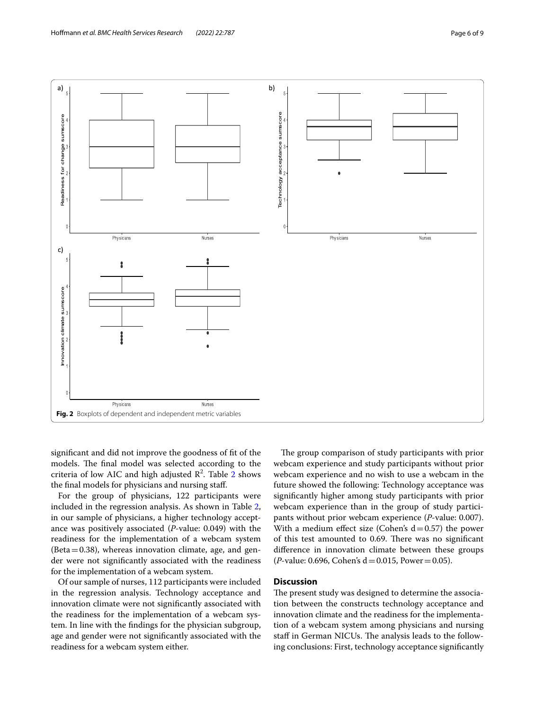

<span id="page-5-0"></span>signifcant and did not improve the goodness of ft of the models. The final model was selected according to the criteria of low AIC and high adjusted  $\mathbb{R}^2$  $\mathbb{R}^2$ . Table 2 shows the fnal models for physicians and nursing staf.

For the group of physicians, 122 participants were included in the regression analysis. As shown in Table [2](#page-6-0), in our sample of physicians, a higher technology acceptance was positively associated (*P*-value: 0.049) with the readiness for the implementation of a webcam system  $(Beta=0.38)$ , whereas innovation climate, age, and gender were not signifcantly associated with the readiness for the implementation of a webcam system.

Of our sample of nurses, 112 participants were included in the regression analysis. Technology acceptance and innovation climate were not signifcantly associated with the readiness for the implementation of a webcam system. In line with the fndings for the physician subgroup, age and gender were not signifcantly associated with the readiness for a webcam system either.

The group comparison of study participants with prior webcam experience and study participants without prior webcam experience and no wish to use a webcam in the future showed the following: Technology acceptance was signifcantly higher among study participants with prior webcam experience than in the group of study participants without prior webcam experience (*P*-value: 0.007). With a medium effect size (Cohen's  $d=0.57$ ) the power of this test amounted to 0.69. There was no significant diference in innovation climate between these groups  $(P$ -value: 0.696, Cohen's d = 0.015, Power = 0.05).

# **Discussion**

The present study was designed to determine the association between the constructs technology acceptance and innovation climate and the readiness for the implementation of a webcam system among physicians and nursing staff in German NICUs. The analysis leads to the following conclusions: First, technology acceptance signifcantly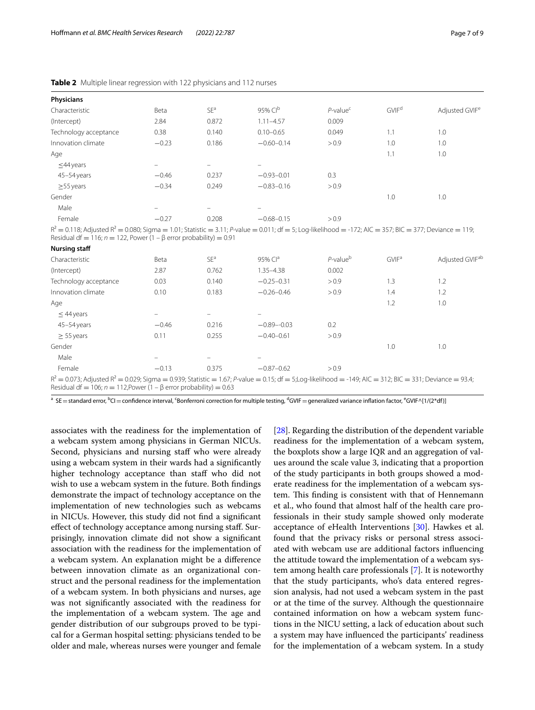| Physicians            |                   |                          |                |                         |                   |                            |
|-----------------------|-------------------|--------------------------|----------------|-------------------------|-------------------|----------------------------|
| Characteristic        | Beta              | SE <sup>a</sup>          | 95% $Clb$      | $P$ -value <sup>c</sup> | GVIF <sup>d</sup> | Adjusted GVIF <sup>e</sup> |
| (Intercept)           | 2.84              | 0.872                    | $1.11 - 4.57$  | 0.009                   |                   |                            |
| Technology acceptance | 0.38              | 0.140                    | $0.10 - 0.65$  | 0.049                   | 1.1               | 1.0                        |
| Innovation climate    | $-0.23$           | 0.186                    | $-0.60 - 0.14$ | > 0.9                   | 1.0               | 1.0                        |
| Age                   |                   |                          |                |                         | 1.1               | 1.0                        |
| $\leq$ 44 years       | $\qquad \qquad -$ | $\equiv$                 | $\equiv$       |                         |                   |                            |
| 45-54 years           | $-0.46$           | 0.237                    | $-0.93 - 0.01$ | 0.3                     |                   |                            |
| $\geq$ 55 years       | $-0.34$           | 0.249                    | $-0.83 - 0.16$ | > 0.9                   |                   |                            |
| Gender                |                   |                          |                |                         | 1.0               | 1.0                        |
| Male                  | $\qquad \qquad =$ | $\overline{\phantom{m}}$ | -              |                         |                   |                            |
| Female                | $-0.27$           | 0.208                    | $-0.68 - 0.15$ | > 0.9                   |                   |                            |
|                       |                   |                          |                |                         |                   |                            |

<span id="page-6-0"></span>**Table 2** Multiple linear regression with 122 physicians and 112 nurses

 $R^2 = 0.118$ ; Adjusted  $R^2 = 0.080$ ; Sigma = 1.01; Statistic = 3.11; *P*-value = 0.011; df = 5; Log-likelihood = -172; AIC = 357; BIC = 377; Deviance = 119; Residual df = 116;  $n = 122$ , Power (1 –  $\beta$  error probability) = 0.91

| <b>Nursing staff</b>                                                                                                                                                                                                                          |                          |                 |                |                         |                         |                             |
|-----------------------------------------------------------------------------------------------------------------------------------------------------------------------------------------------------------------------------------------------|--------------------------|-----------------|----------------|-------------------------|-------------------------|-----------------------------|
| Characteristic                                                                                                                                                                                                                                | Beta                     | SE <sup>a</sup> | 95% $Cla$      | $P$ -value <sup>b</sup> | <b>GVIF<sup>a</sup></b> | Adjusted GVIF <sup>ab</sup> |
| (Intercept)                                                                                                                                                                                                                                   | 2.87                     | 0.762           | 1.35-4.38      | 0.002                   |                         |                             |
| Technology acceptance                                                                                                                                                                                                                         | 0.03                     | 0.140           | $-0.25 - 0.31$ | > 0.9                   | $\overline{1.3}$        | 1.2                         |
| Innovation climate                                                                                                                                                                                                                            | 0.10                     | 0.183           | $-0.26 - 0.46$ | > 0.9                   | 1.4                     | 1.2                         |
| Age                                                                                                                                                                                                                                           |                          |                 |                |                         | 1.2                     | 1.0                         |
| $\leq$ 44 years                                                                                                                                                                                                                               |                          |                 |                |                         |                         |                             |
| 45-54 years                                                                                                                                                                                                                                   | $-0.46$                  | 0.216           | $-0.89 - 0.03$ | 0.2                     |                         |                             |
| $> 55$ years                                                                                                                                                                                                                                  | 0.11                     | 0.255           | $-0.40 - 0.61$ | > 0.9                   |                         |                             |
| Gender                                                                                                                                                                                                                                        |                          |                 |                |                         | 1.0                     | 1.0                         |
| Male                                                                                                                                                                                                                                          | $\overline{\phantom{0}}$ |                 |                |                         |                         |                             |
| Female                                                                                                                                                                                                                                        | $-0.13$                  | 0.375           | $-0.87-0.62$   | > 0.9                   |                         |                             |
| $R^2 = 0.073$ ; Adjusted $R^2 = 0.029$ ; Sigma = 0.939; Statistic = 1.67; P-value = 0.15; df = 5;Log-likelihood = -149; AIC = 312; BIC = 331; Deviance = 93.4;<br>Residual df = 106; $n = 112$ , Power (1 – $\beta$ error probability) = 0.63 |                          |                 |                |                         |                         |                             |

 $^{\rm a}$  SE $=$  standard error,  $^{\rm b}$ CI $=$  confidence interval, <sup>c</sup>Bonferroni correction for multiple testing,  $^{\rm d}$ GVIF $=$  generalized variance inflation factor,  $^{\rm e}$ GVIF $\wedge$ [1/(2\*df)]

associates with the readiness for the implementation of a webcam system among physicians in German NICUs. Second, physicians and nursing staff who were already using a webcam system in their wards had a signifcantly higher technology acceptance than staff who did not wish to use a webcam system in the future. Both fndings demonstrate the impact of technology acceptance on the implementation of new technologies such as webcams in NICUs. However, this study did not fnd a signifcant efect of technology acceptance among nursing staf. Surprisingly, innovation climate did not show a signifcant association with the readiness for the implementation of a webcam system. An explanation might be a diference between innovation climate as an organizational construct and the personal readiness for the implementation of a webcam system. In both physicians and nurses, age was not signifcantly associated with the readiness for the implementation of a webcam system. The age and gender distribution of our subgroups proved to be typical for a German hospital setting: physicians tended to be older and male, whereas nurses were younger and female

[[28\]](#page-8-24). Regarding the distribution of the dependent variable readiness for the implementation of a webcam system, the boxplots show a large IQR and an aggregation of values around the scale value 3, indicating that a proportion of the study participants in both groups showed a moderate readiness for the implementation of a webcam system. This finding is consistent with that of Hennemann et al., who found that almost half of the health care professionals in their study sample showed only moderate acceptance of eHealth Interventions [\[30\]](#page-8-26). Hawkes et al. found that the privacy risks or personal stress associated with webcam use are additional factors infuencing the attitude toward the implementation of a webcam system among health care professionals [\[7](#page-8-17)]. It is noteworthy that the study participants, who's data entered regression analysis, had not used a webcam system in the past or at the time of the survey. Although the questionnaire contained information on how a webcam system functions in the NICU setting, a lack of education about such a system may have infuenced the participants' readiness for the implementation of a webcam system. In a study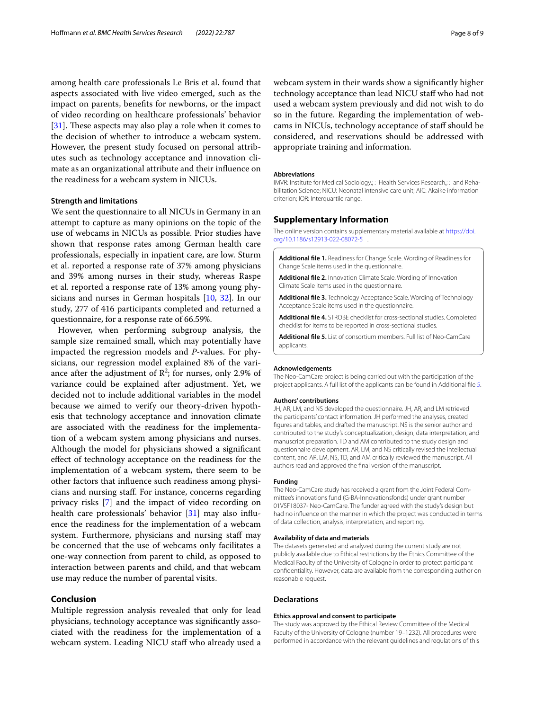among health care professionals Le Bris et al. found that aspects associated with live video emerged, such as the impact on parents, benefts for newborns, or the impact of video recording on healthcare professionals' behavior [ $31$ ]. These aspects may also play a role when it comes to the decision of whether to introduce a webcam system. However, the present study focused on personal attributes such as technology acceptance and innovation climate as an organizational attribute and their infuence on the readiness for a webcam system in NICUs.

# **Strength and limitations**

We sent the questionnaire to all NICUs in Germany in an attempt to capture as many opinions on the topic of the use of webcams in NICUs as possible. Prior studies have shown that response rates among German health care professionals, especially in inpatient care, are low. Sturm et al. reported a response rate of 37% among physicians and 39% among nurses in their study, whereas Raspe et al. reported a response rate of 13% among young physicians and nurses in German hospitals [\[10](#page-8-8), [32\]](#page-8-28). In our study, 277 of 416 participants completed and returned a questionnaire, for a response rate of 66.59%.

However, when performing subgroup analysis, the sample size remained small, which may potentially have impacted the regression models and *P*-values. For physicians, our regression model explained 8% of the variance after the adjustment of  $\mathbb{R}^2$ ; for nurses, only 2.9% of variance could be explained after adjustment. Yet, we decided not to include additional variables in the model because we aimed to verify our theory-driven hypothesis that technology acceptance and innovation climate are associated with the readiness for the implementation of a webcam system among physicians and nurses. Although the model for physicians showed a signifcant efect of technology acceptance on the readiness for the implementation of a webcam system, there seem to be other factors that infuence such readiness among physicians and nursing staf. For instance, concerns regarding privacy risks [\[7](#page-8-17)] and the impact of video recording on health care professionals' behavior [[31\]](#page-8-27) may also influence the readiness for the implementation of a webcam system. Furthermore, physicians and nursing staff may be concerned that the use of webcams only facilitates a one-way connection from parent to child, as opposed to interaction between parents and child, and that webcam use may reduce the number of parental visits.

### **Conclusion**

Multiple regression analysis revealed that only for lead physicians, technology acceptance was signifcantly associated with the readiness for the implementation of a webcam system. Leading NICU staff who already used a

webcam system in their wards show a signifcantly higher technology acceptance than lead NICU staff who had not used a webcam system previously and did not wish to do so in the future. Regarding the implementation of webcams in NICUs, technology acceptance of staf should be considered, and reservations should be addressed with appropriate training and information.

#### **Abbreviations**

IMVR: Institute for Medical Sociology,: : Health Services Research,: : and Rehabilitation Science; NICU: Neonatal intensive care unit; AIC: Akaike information criterion; IQR: Interquartile range.

# **Supplementary Information**

The online version contains supplementary material available at [https://doi.](https://doi.org/10.1186/s12913-022-08072-5) [org/10.1186/s12913-022-08072-5](https://doi.org/10.1186/s12913-022-08072-5) .

<span id="page-7-1"></span><span id="page-7-0"></span>**Additional fle 1.** Readiness for Change Scale. Wording of Readiness for Change Scale items used in the questionnaire.

<span id="page-7-2"></span>**Additional fle 2.** Innovation Climate Scale. Wording of Innovation Climate Scale items used in the questionnaire.

<span id="page-7-3"></span>**Additional fle 3.** Technology Acceptance Scale. Wording of Technology Acceptance Scale items used in the questionnaire.

<span id="page-7-4"></span>**Additional fle 4.** STROBE checklist for cross-sectional studies. Completed checklist for Items to be reported in cross-sectional studies.

**Additional fle 5.** List of consortium members. Full list of Neo-CamCare applicants.

#### **Acknowledgements**

The Neo-CamCare project is being carried out with the participation of the project applicants. A full list of the applicants can be found in Additional fle [5.](#page-7-4)

#### **Authors' contributions**

JH, AR, LM, and NS developed the questionnaire. JH, AR, and LM retrieved the participants' contact information. JH performed the analyses, created fgures and tables, and drafted the manuscript. NS is the senior author and contributed to the study's conceptualization, design, data interpretation, and manuscript preparation. TD and AM contributed to the study design and questionnaire development. AR, LM, and NS critically revised the intellectual content, and AR, LM, NS, TD, and AM critically reviewed the manuscript. All authors read and approved the fnal version of the manuscript.

#### **Funding**

The Neo-CamCare study has received a grant from the Joint Federal Committee's innovations fund (G-BA-Innovationsfonds) under grant number 01VSF18037- Neo-CamCare. The funder agreed with the study's design but had no infuence on the manner in which the project was conducted in terms of data collection, analysis, interpretation, and reporting.

#### **Availability of data and materials**

The datasets generated and analyzed during the current study are not publicly available due to Ethical restrictions by the Ethics Committee of the Medical Faculty of the University of Cologne in order to protect participant confdentiality. However, data are available from the corresponding author on reasonable request.

#### **Declarations**

#### **Ethics approval and consent to participate**

The study was approved by the Ethical Review Committee of the Medical Faculty of the University of Cologne (number 19–1232). All procedures were performed in accordance with the relevant guidelines and regulations of this